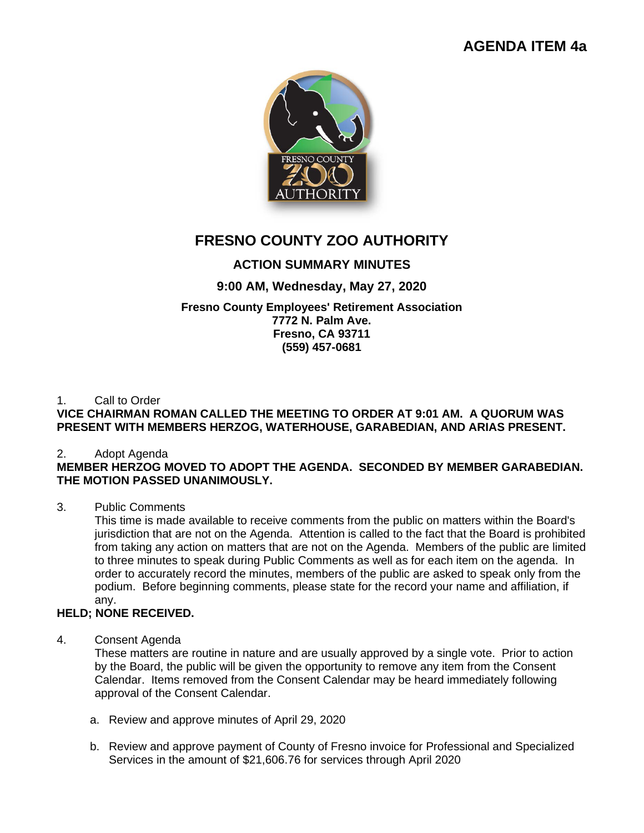# **AGENDA ITEM 4a**



# **FRESNO COUNTY ZOO AUTHORITY**

# **ACTION SUMMARY MINUTES**

## **9:00 AM, Wednesday, May 27, 2020**

#### **Fresno County Employees' Retirement Association 7772 N. Palm Ave. Fresno, CA 93711 (559) 457-0681**

## 1. Call to Order

## **VICE CHAIRMAN ROMAN CALLED THE MEETING TO ORDER AT 9:01 AM. A QUORUM WAS PRESENT WITH MEMBERS HERZOG, WATERHOUSE, GARABEDIAN, AND ARIAS PRESENT.**

#### 2. Adopt Agenda

## **MEMBER HERZOG MOVED TO ADOPT THE AGENDA. SECONDED BY MEMBER GARABEDIAN. THE MOTION PASSED UNANIMOUSLY.**

#### 3. Public Comments

This time is made available to receive comments from the public on matters within the Board's jurisdiction that are not on the Agenda. Attention is called to the fact that the Board is prohibited from taking any action on matters that are not on the Agenda. Members of the public are limited to three minutes to speak during Public Comments as well as for each item on the agenda. In order to accurately record the minutes, members of the public are asked to speak only from the podium. Before beginning comments, please state for the record your name and affiliation, if any.

## **HELD; NONE RECEIVED.**

#### 4. Consent Agenda

These matters are routine in nature and are usually approved by a single vote. Prior to action by the Board, the public will be given the opportunity to remove any item from the Consent Calendar. Items removed from the Consent Calendar may be heard immediately following approval of the Consent Calendar.

- a. Review and approve minutes of April 29, 2020
- b. Review and approve payment of County of Fresno invoice for Professional and Specialized Services in the amount of \$21,606.76 for services through April 2020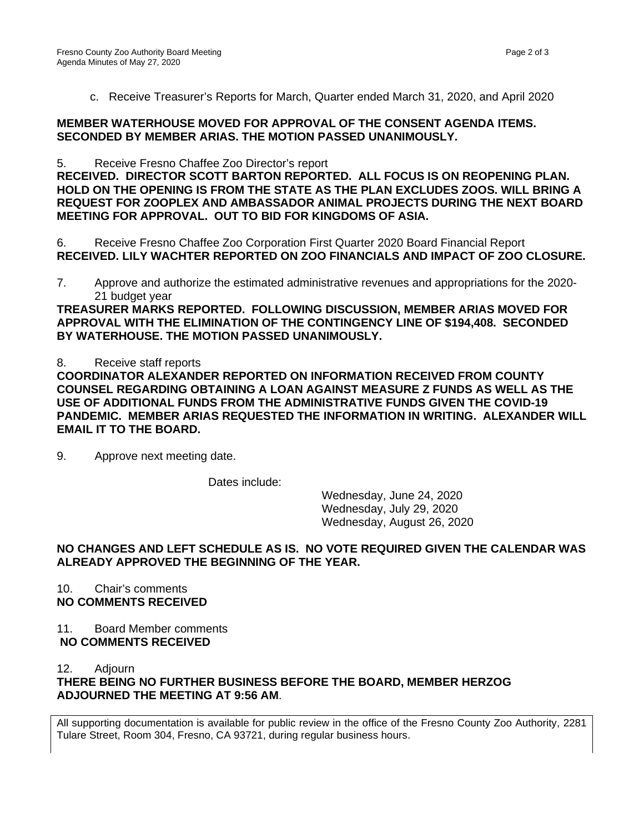c. Receive Treasurer's Reports for March, Quarter ended March 31, 2020, and April 2020

#### **MEMBER WATERHOUSE MOVED FOR APPROVAL OF THE CONSENT AGENDA ITEMS. SECONDED BY MEMBER ARIAS. THE MOTION PASSED UNANIMOUSLY.**

5. Receive Fresno Chaffee Zoo Director's report

**RECEIVED. DIRECTOR SCOTT BARTON REPORTED. ALL FOCUS IS ON REOPENING PLAN. HOLD ON THE OPENING IS FROM THE STATE AS THE PLAN EXCLUDES ZOOS. WILL BRING A REQUEST FOR ZOOPLEX AND AMBASSADOR ANIMAL PROJECTS DURING THE NEXT BOARD MEETING FOR APPROVAL. OUT TO BID FOR KINGDOMS OF ASIA.**

6. Receive Fresno Chaffee Zoo Corporation First Quarter 2020 Board Financial Report **RECEIVED. LILY WACHTER REPORTED ON ZOO FINANCIALS AND IMPACT OF ZOO CLOSURE.** 

7. Approve and authorize the estimated administrative revenues and appropriations for the 2020- 21 budget year

**TREASURER MARKS REPORTED. FOLLOWING DISCUSSION, MEMBER ARIAS MOVED FOR APPROVAL WITH THE ELIMINATION OF THE CONTINGENCY LINE OF \$194,408. SECONDED BY WATERHOUSE. THE MOTION PASSED UNANIMOUSLY.**

8. Receive staff reports

**COORDINATOR ALEXANDER REPORTED ON INFORMATION RECEIVED FROM COUNTY COUNSEL REGARDING OBTAINING A LOAN AGAINST MEASURE Z FUNDS AS WELL AS THE USE OF ADDITIONAL FUNDS FROM THE ADMINISTRATIVE FUNDS GIVEN THE COVID-19 PANDEMIC. MEMBER ARIAS REQUESTED THE INFORMATION IN WRITING. ALEXANDER WILL EMAIL IT TO THE BOARD.**

9. Approve next meeting date.

Dates include:

Wednesday, June 24, 2020 Wednesday, July 29, 2020 Wednesday, August 26, 2020

#### **NO CHANGES AND LEFT SCHEDULE AS IS. NO VOTE REQUIRED GIVEN THE CALENDAR WAS ALREADY APPROVED THE BEGINNING OF THE YEAR.**

10. Chair's comments **NO COMMENTS RECEIVED**

11. Board Member comments **NO COMMENTS RECEIVED**

12. Adjourn

**THERE BEING NO FURTHER BUSINESS BEFORE THE BOARD, MEMBER HERZOG ADJOURNED THE MEETING AT 9:56 AM**.

All supporting documentation is available for public review in the office of the Fresno County Zoo Authority, 2281 Tulare Street, Room 304, Fresno, CA 93721, during regular business hours.